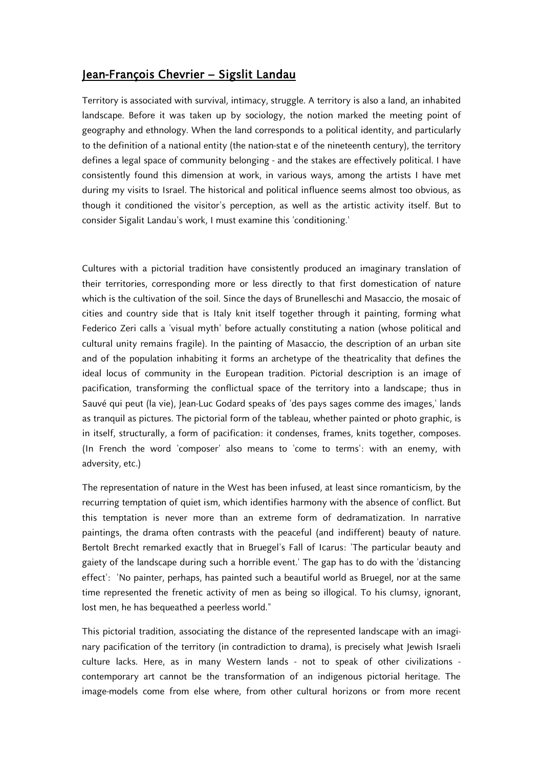## Jean-François Chevrier – Sigslit Landau

Territory is associated with survival, intimacy, struggle. A territory is also a land, an inhabited landscape. Before it was taken up by sociology, the notion marked the meeting point of geography and ethnology. When the land corresponds to a political identity, and particularly to the definition of a national entity (the nation-stat e of the nineteenth century), the territory defines a legal space of community belonging - and the stakes are effectively political. I have consistently found this dimension at work, in various ways, among the artists I have met during my visits to Israel. The historical and political influence seems almost too obvious, as though it conditioned the visitor's perception, as well as the artistic activity itself. But to consider Sigalit Landau's work, I must examine this 'conditioning.'

Cultures with a pictorial tradition have consistently produced an imaginary translation of their territories, corresponding more or less directly to that first domestication of nature which is the cultivation of the soil. Since the days of Brunelleschi and Masaccio, the mosaic of cities and country side that is Italy knit itself together through it painting, forming what Federico Zeri calls a 'visual myth' before actually constituting a nation (whose political and cultural unity remains fragile). In the painting of Masaccio, the description of an urban site and of the population inhabiting it forms an archetype of the theatricality that defines the ideal locus of community in the European tradition. Pictorial description is an image of pacification, transforming the conflictual space of the territory into a landscape; thus in Sauvé qui peut (la vie), Jean-Luc Godard speaks of 'des pays sages comme des images,' lands as tranquil as pictures. The pictorial form of the tableau, whether painted or photo graphic, is in itself, structurally, a form of pacification: it condenses, frames, knits together, composes. (In French the word 'composer' also means to 'come to terms': with an enemy, with adversity, etc.)

The representation of nature in the West has been infused, at least since romanticism, by the recurring temptation of quiet ism, which identifies harmony with the absence of conflict. But this temptation is never more than an extreme form of dedramatization. In narrative paintings, the drama often contrasts with the peaceful (and indifferent) beauty of nature. Bertolt Brecht remarked exactly that in Bruegel's Fall of Icarus: 'The particular beauty and gaiety of the landscape during such a horrible event.' The gap has to do with the 'distancing effect': 'No painter, perhaps, has painted such a beautiful world as Bruegel, nor at the same time represented the frenetic activity of men as being so illogical. To his clumsy, ignorant, lost men, he has bequeathed a peerless world."

This pictorial tradition, associating the distance of the represented landscape with an imaginary pacification of the territory (in contradiction to drama), is precisely what Jewish Israeli culture lacks. Here, as in many Western lands - not to speak of other civilizations contemporary art cannot be the transformation of an indigenous pictorial heritage. The image-models come from else where, from other cultural horizons or from more recent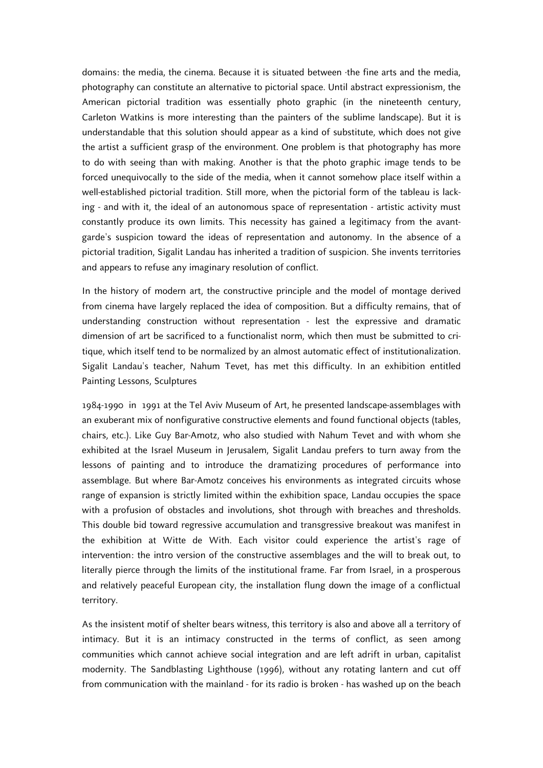domains: the media, the cinema. Because it is situated between ·the fine arts and the media, photography can constitute an alternative to pictorial space. Until abstract expressionism, the American pictorial tradition was essentially photo graphic (in the nineteenth century, Carleton Watkins is more interesting than the painters of the sublime landscape). But it is understandable that this solution should appear as a kind of substitute, which does not give the artist a sufficient grasp of the environment. One problem is that photography has more to do with seeing than with making. Another is that the photo graphic image tends to be forced unequivocally to the side of the media, when it cannot somehow place itself within a well-established pictorial tradition. Still more, when the pictorial form of the tableau is lacking - and with it, the ideal of an autonomous space of representation - artistic activity must constantly produce its own limits. This necessity has gained a legitimacy from the avantgarde's suspicion toward the ideas of representation and autonomy. In the absence of a pictorial tradition, Sigalit Landau has inherited a tradition of suspicion. She invents territories and appears to refuse any imaginary resolution of conflict.

In the history of modern art, the constructive principle and the model of montage derived from cinema have largely replaced the idea of composition. But a difficulty remains, that of understanding construction without representation - lest the expressive and dramatic dimension of art be sacrificed to a functionalist norm, which then must be submitted to critique, which itself tend to be normalized by an almost automatic effect of institutionalization. Sigalit Landau's teacher, Nahum Tevet, has met this difficulty. In an exhibition entitled Painting Lessons, Sculptures

1984-1990 in 1991 at the Tel Aviv Museum of Art, he presented landscape-assemblages with an exuberant mix of nonfigurative constructive elements and found functional objects (tables, chairs, etc.). Like Guy Bar-Amotz, who also studied with Nahum Tevet and with whom she exhibited at the Israel Museum in Jerusalem, Sigalit Landau prefers to turn away from the lessons of painting and to introduce the dramatizing procedures of performance into assemblage. But where Bar-Amotz conceives his environments as integrated circuits whose range of expansion is strictly limited within the exhibition space, Landau occupies the space with a profusion of obstacles and involutions, shot through with breaches and thresholds. This double bid toward regressive accumulation and transgressive breakout was manifest in the exhibition at Witte de With. Each visitor could experience the artist's rage of intervention: the intro version of the constructive assemblages and the will to break out, to literally pierce through the limits of the institutional frame. Far from Israel, in a prosperous and relatively peaceful European city, the installation flung down the image of a conflictual territory.

As the insistent motif of shelter bears witness, this territory is also and above all a territory of intimacy. But it is an intimacy constructed in the terms of conflict, as seen among communities which cannot achieve social integration and are left adrift in urban, capitalist modernity. The Sandblasting Lighthouse (1996), without any rotating lantern and cut off from communication with the mainland - for its radio is broken - has washed up on the beach